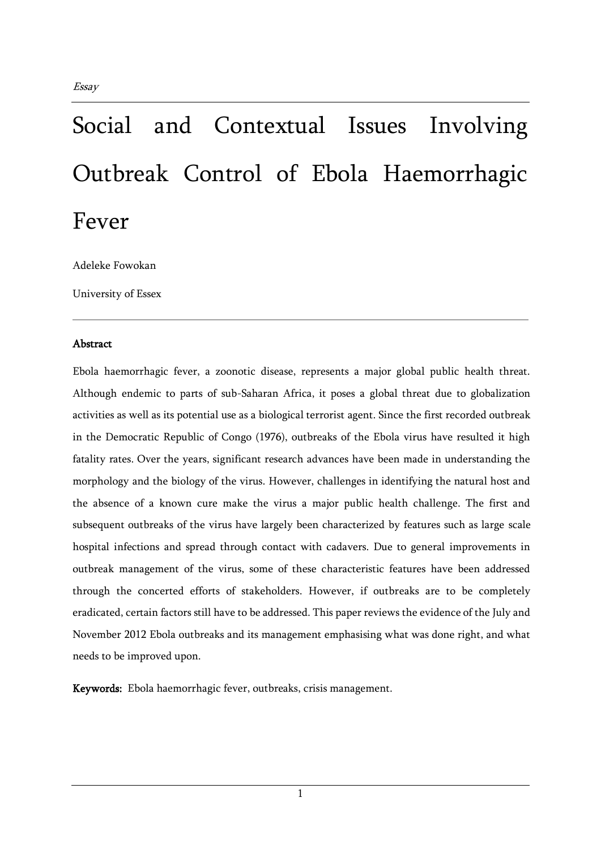# Social and Contextual Issues Involving Outbreak Control of Ebola Haemorrhagic Fever

Adeleke Fowokan

University of Essex

## Abstract

Ebola haemorrhagic fever, a zoonotic disease, represents a major global public health threat. Although endemic to parts of sub-Saharan Africa, it poses a global threat due to globalization activities as well as its potential use as a biological terrorist agent. Since the first recorded outbreak in the Democratic Republic of Congo (1976), outbreaks of the Ebola virus have resulted it high fatality rates. Over the years, significant research advances have been made in understanding the morphology and the biology of the virus. However, challenges in identifying the natural host and the absence of a known cure make the virus a major public health challenge. The first and subsequent outbreaks of the virus have largely been characterized by features such as large scale hospital infections and spread through contact with cadavers. Due to general improvements in outbreak management of the virus, some of these characteristic features have been addressed through the concerted efforts of stakeholders. However, if outbreaks are to be completely eradicated, certain factors still have to be addressed. This paper reviews the evidence of the July and November 2012 Ebola outbreaks and its management emphasising what was done right, and what needs to be improved upon.

Keywords: Ebola haemorrhagic fever, outbreaks, crisis management.

1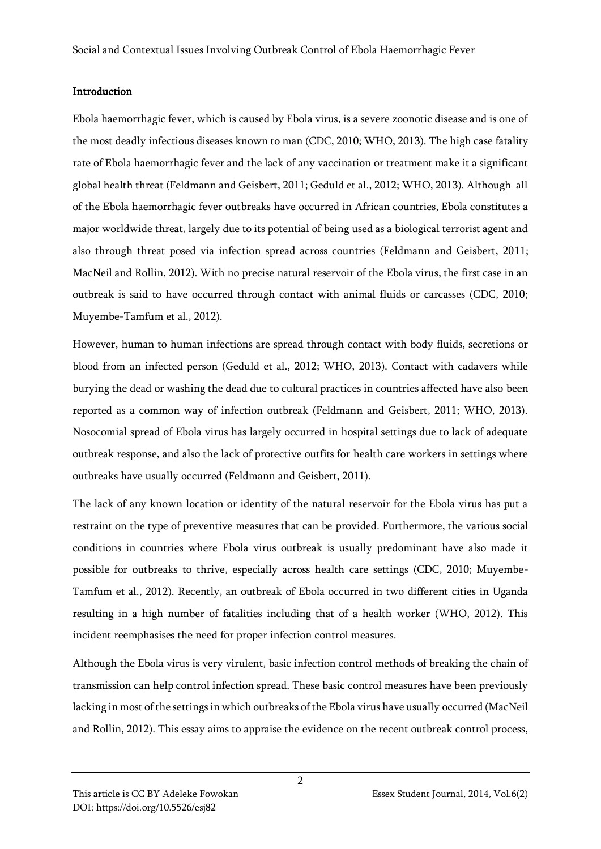## **Introduction**

Ebola haemorrhagic fever, which is caused by Ebola virus, is a severe zoonotic disease and is one of the most deadly infectious diseases known to man (CDC, 2010; WHO, 2013). The high case fatality rate of Ebola haemorrhagic fever and the lack of any vaccination or treatment make it a significant global health threat (Feldmann and Geisbert, 2011; Geduld et al., 2012; WHO, 2013). Although all of the Ebola haemorrhagic fever outbreaks have occurred in African countries, Ebola constitutes a major worldwide threat, largely due to its potential of being used as a biological terrorist agent and also through threat posed via infection spread across countries (Feldmann and Geisbert, 2011; MacNeil and Rollin, 2012). With no precise natural reservoir of the Ebola virus, the first case in an outbreak is said to have occurred through contact with animal fluids or carcasses (CDC, 2010; Muyembe-Tamfum et al., 2012).

However, human to human infections are spread through contact with body fluids, secretions or blood from an infected person (Geduld et al., 2012; WHO, 2013). Contact with cadavers while burying the dead or washing the dead due to cultural practices in countries affected have also been reported as a common way of infection outbreak (Feldmann and Geisbert, 2011; WHO, 2013). Nosocomial spread of Ebola virus has largely occurred in hospital settings due to lack of adequate outbreak response, and also the lack of protective outfits for health care workers in settings where outbreaks have usually occurred (Feldmann and Geisbert, 2011).

The lack of any known location or identity of the natural reservoir for the Ebola virus has put a restraint on the type of preventive measures that can be provided. Furthermore, the various social conditions in countries where Ebola virus outbreak is usually predominant have also made it possible for outbreaks to thrive, especially across health care settings (CDC, 2010; Muyembe-Tamfum et al., 2012). Recently, an outbreak of Ebola occurred in two different cities in Uganda resulting in a high number of fatalities including that of a health worker (WHO, 2012). This incident reemphasises the need for proper infection control measures.

Although the Ebola virus is very virulent, basic infection control methods of breaking the chain of transmission can help control infection spread. These basic control measures have been previously lacking in most of the settings in which outbreaks of the Ebola virus have usually occurred (MacNeil and Rollin, 2012). This essay aims to appraise the evidence on the recent outbreak control process,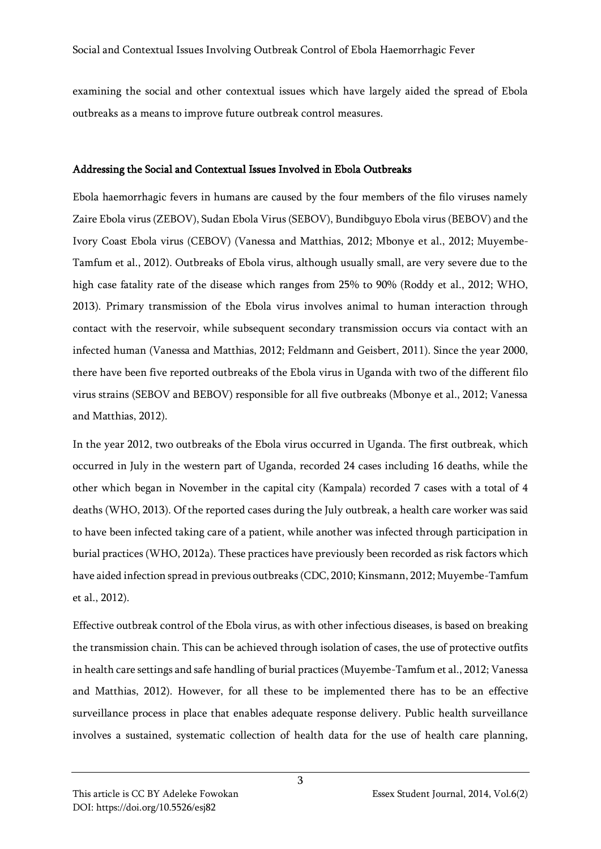examining the social and other contextual issues which have largely aided the spread of Ebola outbreaks as a means to improve future outbreak control measures.

## Addressing the Social and Contextual Issues Involved in Ebola Outbreaks

Ebola haemorrhagic fevers in humans are caused by the four members of the filo viruses namely Zaire Ebola virus (ZEBOV), Sudan Ebola Virus (SEBOV), Bundibguyo Ebola virus (BEBOV) and the Ivory Coast Ebola virus (CEBOV) (Vanessa and Matthias, 2012; Mbonye et al., 2012; Muyembe-Tamfum et al., 2012). Outbreaks of Ebola virus, although usually small, are very severe due to the high case fatality rate of the disease which ranges from 25% to 90% (Roddy et al., 2012; WHO, 2013). Primary transmission of the Ebola virus involves animal to human interaction through contact with the reservoir, while subsequent secondary transmission occurs via contact with an infected human (Vanessa and Matthias, 2012; Feldmann and Geisbert, 2011). Since the year 2000, there have been five reported outbreaks of the Ebola virus in Uganda with two of the different filo virus strains (SEBOV and BEBOV) responsible for all five outbreaks (Mbonye et al., 2012; Vanessa and Matthias, 2012).

In the year 2012, two outbreaks of the Ebola virus occurred in Uganda. The first outbreak, which occurred in July in the western part of Uganda, recorded 24 cases including 16 deaths, while the other which began in November in the capital city (Kampala) recorded 7 cases with a total of 4 deaths (WHO, 2013). Of the reported cases during the July outbreak, a health care worker was said to have been infected taking care of a patient, while another was infected through participation in burial practices (WHO, 2012a). These practices have previously been recorded as risk factors which have aided infection spread in previous outbreaks (CDC, 2010; Kinsmann, 2012; Muyembe-Tamfum et al., 2012).

Effective outbreak control of the Ebola virus, as with other infectious diseases, is based on breaking the transmission chain. This can be achieved through isolation of cases, the use of protective outfits in health care settings and safe handling of burial practices (Muyembe-Tamfum et al., 2012; Vanessa and Matthias, 2012). However, for all these to be implemented there has to be an effective surveillance process in place that enables adequate response delivery. Public health surveillance involves a sustained, systematic collection of health data for the use of health care planning,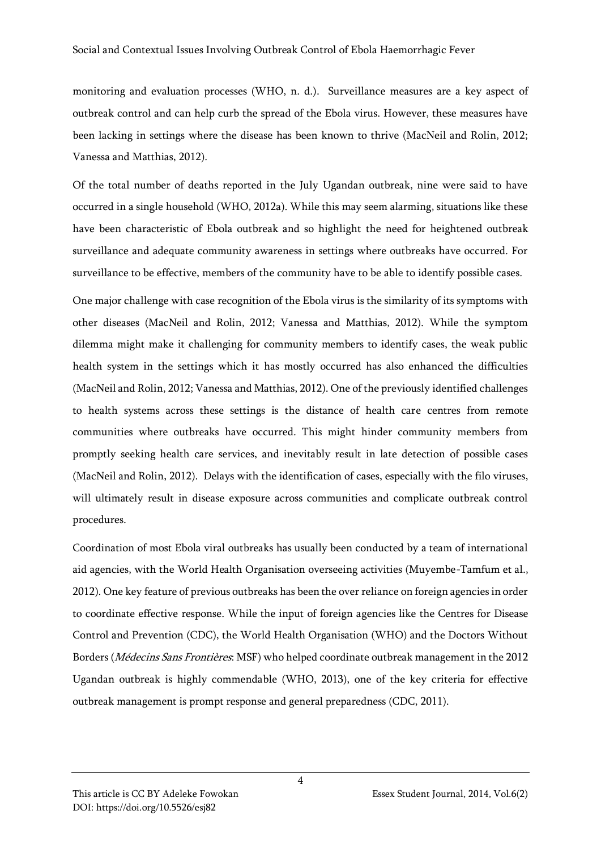monitoring and evaluation processes (WHO, n. d.). Surveillance measures are a key aspect of outbreak control and can help curb the spread of the Ebola virus. However, these measures have been lacking in settings where the disease has been known to thrive (MacNeil and Rolin, 2012; Vanessa and Matthias, 2012).

Of the total number of deaths reported in the July Ugandan outbreak, nine were said to have occurred in a single household (WHO, 2012a). While this may seem alarming, situations like these have been characteristic of Ebola outbreak and so highlight the need for heightened outbreak surveillance and adequate community awareness in settings where outbreaks have occurred. For surveillance to be effective, members of the community have to be able to identify possible cases.

One major challenge with case recognition of the Ebola virus is the similarity of its symptoms with other diseases (MacNeil and Rolin, 2012; Vanessa and Matthias, 2012). While the symptom dilemma might make it challenging for community members to identify cases, the weak public health system in the settings which it has mostly occurred has also enhanced the difficulties (MacNeil and Rolin, 2012; Vanessa and Matthias, 2012). One of the previously identified challenges to health systems across these settings is the distance of health care centres from remote communities where outbreaks have occurred. This might hinder community members from promptly seeking health care services, and inevitably result in late detection of possible cases (MacNeil and Rolin, 2012). Delays with the identification of cases, especially with the filo viruses, will ultimately result in disease exposure across communities and complicate outbreak control procedures.

Coordination of most Ebola viral outbreaks has usually been conducted by a team of international aid agencies, with the World Health Organisation overseeing activities (Muyembe-Tamfum et al., 2012). One key feature of previous outbreaks has been the over reliance on foreign agencies in order to coordinate effective response. While the input of foreign agencies like the Centres for Disease Control and Prevention (CDC), the World Health Organisation (WHO) and the Doctors Without Borders (Médecins Sans Frontières: MSF) who helped coordinate outbreak management in the 2012 Ugandan outbreak is highly commendable (WHO, 2013), one of the key criteria for effective outbreak management is prompt response and general preparedness (CDC, 2011).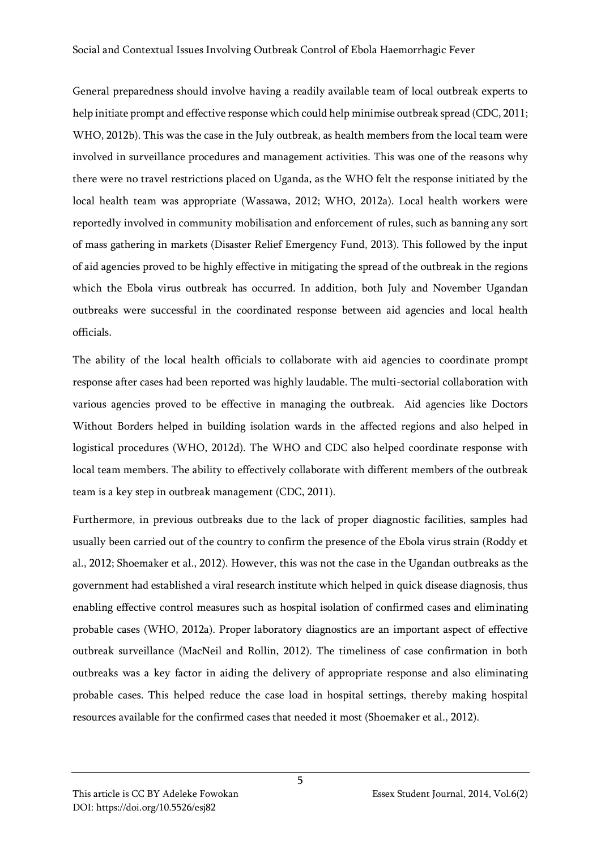General preparedness should involve having a readily available team of local outbreak experts to help initiate prompt and effective response which could help minimise outbreak spread (CDC, 2011; WHO, 2012b). This was the case in the July outbreak, as health members from the local team were involved in surveillance procedures and management activities. This was one of the reasons why there were no travel restrictions placed on Uganda, as the WHO felt the response initiated by the local health team was appropriate (Wassawa, 2012; WHO, 2012a). Local health workers were reportedly involved in community mobilisation and enforcement of rules, such as banning any sort of mass gathering in markets (Disaster Relief Emergency Fund, 2013). This followed by the input of aid agencies proved to be highly effective in mitigating the spread of the outbreak in the regions which the Ebola virus outbreak has occurred. In addition, both July and November Ugandan outbreaks were successful in the coordinated response between aid agencies and local health officials.

The ability of the local health officials to collaborate with aid agencies to coordinate prompt response after cases had been reported was highly laudable. The multi-sectorial collaboration with various agencies proved to be effective in managing the outbreak. Aid agencies like Doctors Without Borders helped in building isolation wards in the affected regions and also helped in logistical procedures (WHO, 2012d). The WHO and CDC also helped coordinate response with local team members. The ability to effectively collaborate with different members of the outbreak team is a key step in outbreak management (CDC, 2011).

Furthermore, in previous outbreaks due to the lack of proper diagnostic facilities, samples had usually been carried out of the country to confirm the presence of the Ebola virus strain (Roddy et al., 2012; Shoemaker et al., 2012). However, this was not the case in the Ugandan outbreaks as the government had established a viral research institute which helped in quick disease diagnosis, thus enabling effective control measures such as hospital isolation of confirmed cases and eliminating probable cases (WHO, 2012a). Proper laboratory diagnostics are an important aspect of effective outbreak surveillance (MacNeil and Rollin, 2012). The timeliness of case confirmation in both outbreaks was a key factor in aiding the delivery of appropriate response and also eliminating probable cases. This helped reduce the case load in hospital settings, thereby making hospital resources available for the confirmed cases that needed it most (Shoemaker et al., 2012).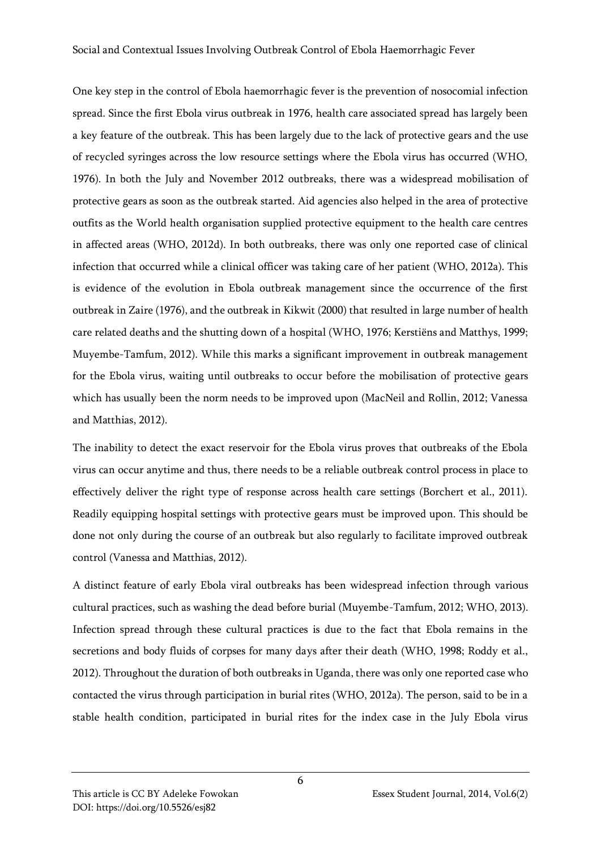One key step in the control of Ebola haemorrhagic fever is the prevention of nosocomial infection spread. Since the first Ebola virus outbreak in 1976, health care associated spread has largely been a key feature of the outbreak. This has been largely due to the lack of protective gears and the use of recycled syringes across the low resource settings where the Ebola virus has occurred (WHO, 1976). In both the July and November 2012 outbreaks, there was a widespread mobilisation of protective gears as soon as the outbreak started. Aid agencies also helped in the area of protective outfits as the World health organisation supplied protective equipment to the health care centres in affected areas (WHO, 2012d). In both outbreaks, there was only one reported case of clinical infection that occurred while a clinical officer was taking care of her patient (WHO, 2012a). This is evidence of the evolution in Ebola outbreak management since the occurrence of the first outbreak in Zaire (1976), and the outbreak in Kikwit (2000) that resulted in large number of health care related deaths and the shutting down of a hospital (WHO, 1976; Kerstiëns and Matthys, 1999; Muyembe-Tamfum, 2012). While this marks a significant improvement in outbreak management for the Ebola virus, waiting until outbreaks to occur before the mobilisation of protective gears which has usually been the norm needs to be improved upon (MacNeil and Rollin, 2012; Vanessa and Matthias, 2012).

The inability to detect the exact reservoir for the Ebola virus proves that outbreaks of the Ebola virus can occur anytime and thus, there needs to be a reliable outbreak control process in place to effectively deliver the right type of response across health care settings (Borchert et al., 2011). Readily equipping hospital settings with protective gears must be improved upon. This should be done not only during the course of an outbreak but also regularly to facilitate improved outbreak control (Vanessa and Matthias, 2012).

A distinct feature of early Ebola viral outbreaks has been widespread infection through various cultural practices, such as washing the dead before burial (Muyembe-Tamfum, 2012; WHO, 2013). Infection spread through these cultural practices is due to the fact that Ebola remains in the secretions and body fluids of corpses for many days after their death (WHO, 1998; Roddy et al., 2012). Throughout the duration of both outbreaks in Uganda, there was only one reported case who contacted the virus through participation in burial rites (WHO, 2012a). The person, said to be in a stable health condition, participated in burial rites for the index case in the July Ebola virus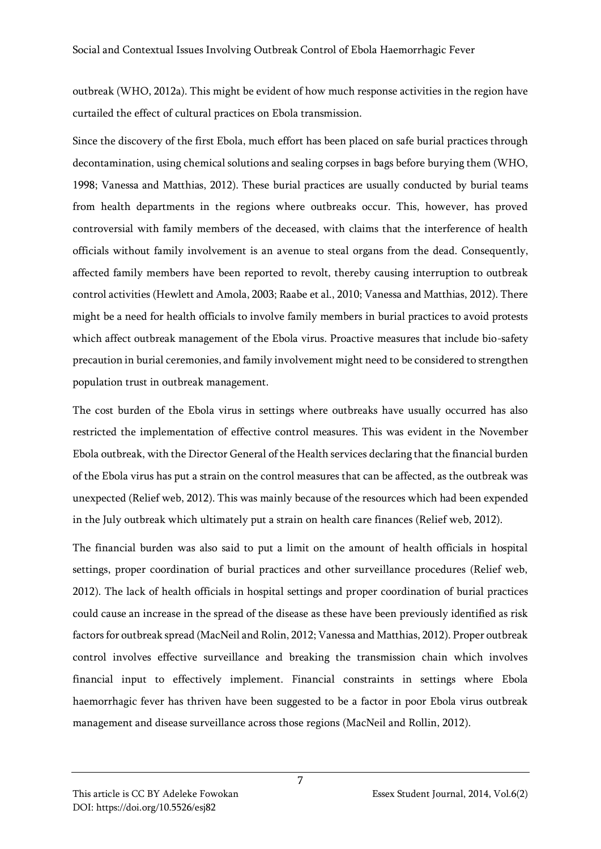outbreak (WHO, 2012a). This might be evident of how much response activities in the region have curtailed the effect of cultural practices on Ebola transmission.

Since the discovery of the first Ebola, much effort has been placed on safe burial practices through decontamination, using chemical solutions and sealing corpses in bags before burying them (WHO, 1998; Vanessa and Matthias, 2012). These burial practices are usually conducted by burial teams from health departments in the regions where outbreaks occur. This, however, has proved controversial with family members of the deceased, with claims that the interference of health officials without family involvement is an avenue to steal organs from the dead. Consequently, affected family members have been reported to revolt, thereby causing interruption to outbreak control activities (Hewlett and Amola, 2003; Raabe et al., 2010; Vanessa and Matthias, 2012). There might be a need for health officials to involve family members in burial practices to avoid protests which affect outbreak management of the Ebola virus. Proactive measures that include bio-safety precaution in burial ceremonies, and family involvement might need to be considered to strengthen population trust in outbreak management.

The cost burden of the Ebola virus in settings where outbreaks have usually occurred has also restricted the implementation of effective control measures. This was evident in the November Ebola outbreak, with the Director General of the Health services declaring that the financial burden of the Ebola virus has put a strain on the control measures that can be affected, as the outbreak was unexpected (Relief web, 2012). This was mainly because of the resources which had been expended in the July outbreak which ultimately put a strain on health care finances (Relief web, 2012).

The financial burden was also said to put a limit on the amount of health officials in hospital settings, proper coordination of burial practices and other surveillance procedures (Relief web, 2012). The lack of health officials in hospital settings and proper coordination of burial practices could cause an increase in the spread of the disease as these have been previously identified as risk factors for outbreak spread (MacNeil and Rolin, 2012; Vanessa and Matthias, 2012). Proper outbreak control involves effective surveillance and breaking the transmission chain which involves financial input to effectively implement. Financial constraints in settings where Ebola haemorrhagic fever has thriven have been suggested to be a factor in poor Ebola virus outbreak management and disease surveillance across those regions (MacNeil and Rollin, 2012).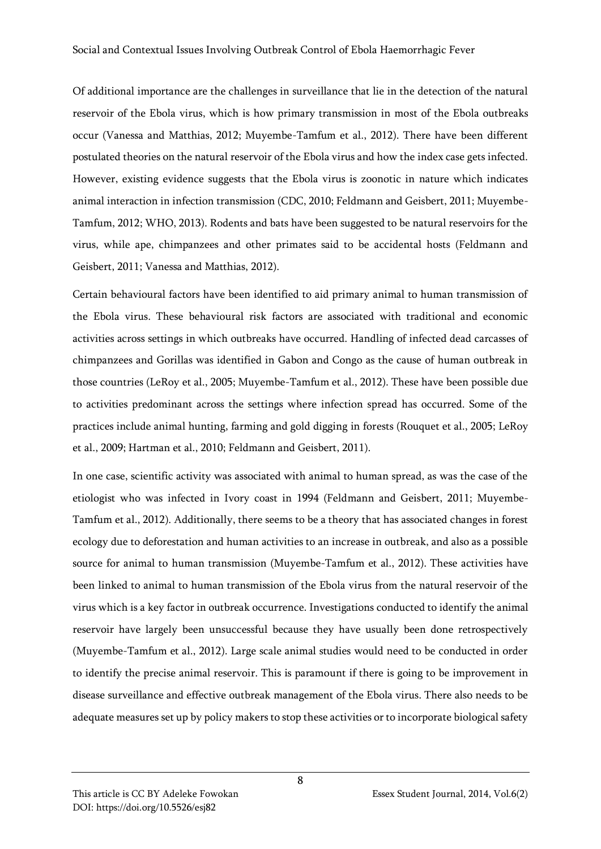Of additional importance are the challenges in surveillance that lie in the detection of the natural reservoir of the Ebola virus, which is how primary transmission in most of the Ebola outbreaks occur (Vanessa and Matthias, 2012; Muyembe-Tamfum et al., 2012). There have been different postulated theories on the natural reservoir of the Ebola virus and how the index case gets infected. However, existing evidence suggests that the Ebola virus is zoonotic in nature which indicates animal interaction in infection transmission (CDC, 2010; Feldmann and Geisbert, 2011; Muyembe-Tamfum, 2012; WHO, 2013). Rodents and bats have been suggested to be natural reservoirs for the virus, while ape, chimpanzees and other primates said to be accidental hosts (Feldmann and Geisbert, 2011; Vanessa and Matthias, 2012).

Certain behavioural factors have been identified to aid primary animal to human transmission of the Ebola virus. These behavioural risk factors are associated with traditional and economic activities across settings in which outbreaks have occurred. Handling of infected dead carcasses of chimpanzees and Gorillas was identified in Gabon and Congo as the cause of human outbreak in those countries (LeRoy et al., 2005; Muyembe-Tamfum et al., 2012). These have been possible due to activities predominant across the settings where infection spread has occurred. Some of the practices include animal hunting, farming and gold digging in forests (Rouquet et al., 2005; LeRoy et al., 2009; Hartman et al., 2010; Feldmann and Geisbert, 2011).

In one case, scientific activity was associated with animal to human spread, as was the case of the etiologist who was infected in Ivory coast in 1994 (Feldmann and Geisbert, 2011; Muyembe-Tamfum et al., 2012). Additionally, there seems to be a theory that has associated changes in forest ecology due to deforestation and human activities to an increase in outbreak, and also as a possible source for animal to human transmission (Muyembe-Tamfum et al., 2012). These activities have been linked to animal to human transmission of the Ebola virus from the natural reservoir of the virus which is a key factor in outbreak occurrence. Investigations conducted to identify the animal reservoir have largely been unsuccessful because they have usually been done retrospectively (Muyembe-Tamfum et al., 2012). Large scale animal studies would need to be conducted in order to identify the precise animal reservoir. This is paramount if there is going to be improvement in disease surveillance and effective outbreak management of the Ebola virus. There also needs to be adequate measures set up by policy makers to stop these activities or to incorporate biological safety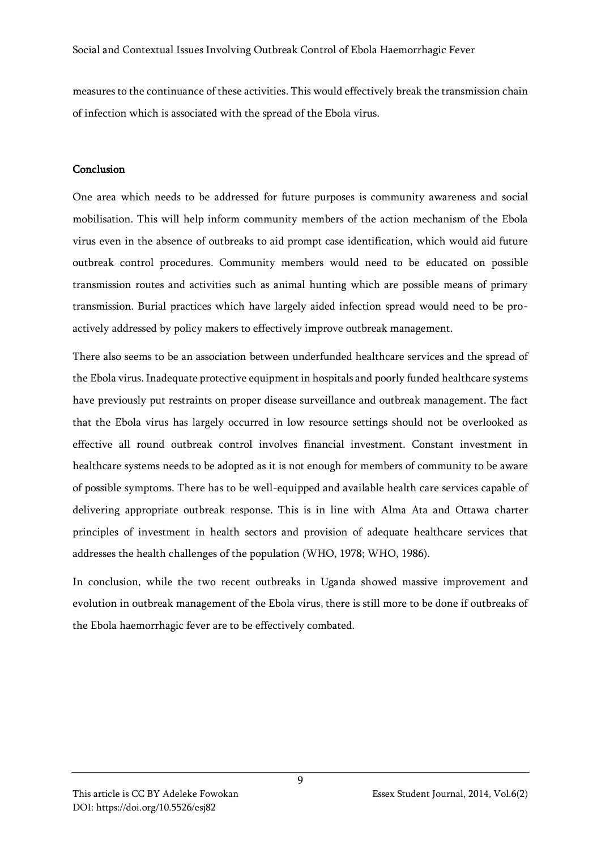Social and Contextual Issues Involving Outbreak Control of Ebola Haemorrhagic Fever

measures to the continuance of these activities. This would effectively break the transmission chain of infection which is associated with the spread of the Ebola virus.

## Conclusion

One area which needs to be addressed for future purposes is community awareness and social mobilisation. This will help inform community members of the action mechanism of the Ebola virus even in the absence of outbreaks to aid prompt case identification, which would aid future outbreak control procedures. Community members would need to be educated on possible transmission routes and activities such as animal hunting which are possible means of primary transmission. Burial practices which have largely aided infection spread would need to be proactively addressed by policy makers to effectively improve outbreak management.

There also seems to be an association between underfunded healthcare services and the spread of the Ebola virus. Inadequate protective equipment in hospitals and poorly funded healthcare systems have previously put restraints on proper disease surveillance and outbreak management. The fact that the Ebola virus has largely occurred in low resource settings should not be overlooked as effective all round outbreak control involves financial investment. Constant investment in healthcare systems needs to be adopted as it is not enough for members of community to be aware of possible symptoms. There has to be well-equipped and available health care services capable of delivering appropriate outbreak response. This is in line with Alma Ata and Ottawa charter principles of investment in health sectors and provision of adequate healthcare services that addresses the health challenges of the population (WHO, 1978; WHO, 1986).

In conclusion, while the two recent outbreaks in Uganda showed massive improvement and evolution in outbreak management of the Ebola virus, there is still more to be done if outbreaks of the Ebola haemorrhagic fever are to be effectively combated.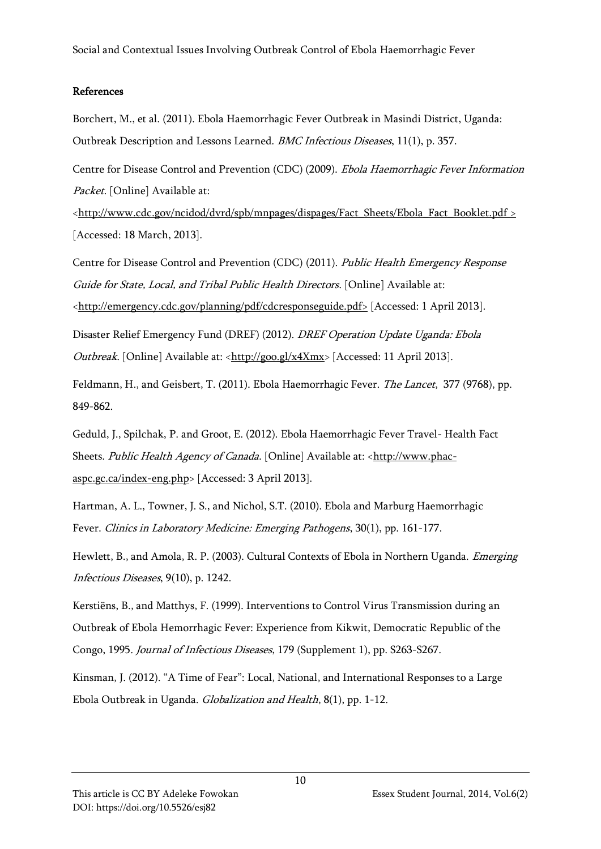Social and Contextual Issues Involving Outbreak Control of Ebola Haemorrhagic Fever

## References

Borchert, M., et al. (2011). Ebola Haemorrhagic Fever Outbreak in Masindi District, Uganda: Outbreak Description and Lessons Learned. BMC Infectious Diseases, 11(1), p. 357.

Centre for Disease Control and Prevention (CDC) (2009). Ebola Haemorrhagic Fever Information Packet. [Online] Available at:

[<http://www.cdc.gov/ncidod/dvrd/spb/mnpages/dispages/Fact\\_Sheets/Ebola\\_Fact\\_Booklet.pdf >](http://www.cdc.gov/ncidod/dvrd/spb/mnpages/dispages/Fact_Sheets/Ebola_Fact_Booklet.pdf%20Accessed%2018th%20march%202013) [Accessed: 18 March, 2013].

Centre for Disease Control and Prevention (CDC) (2011). Public Health Emergency Response Guide for State, Local, and Tribal Public Health Directors. [Online] Available at: [<http://emergency.cdc.gov/planning/pdf/cdcresponseguide.pdf>](http://emergency.cdc.gov/planning/pdf/cdcresponseguide.pdf) [Accessed: 1 April 2013].

Disaster Relief Emergency Fund (DREF) (2012). DREF Operation Update Uganda: Ebola Outbreak. [Online] Available at: [<http://goo.gl/x4Xmx>](http://goo.gl/x4Xmx) [Accessed: 11 April 2013].

Feldmann, H., and Geisbert, T. (2011). Ebola Haemorrhagic Fever. The Lancet, 377 (9768), pp. 849-862.

Geduld, J., Spilchak, P. and Groot, E. (2012). Ebola Haemorrhagic Fever Travel- Health Fact Sheets. Public Health Agency of Canada. [Online] Available at: [<http://www.phac](http://www.phac-aspc.gc.ca/index-eng.php)[aspc.gc.ca/index-eng.php>](http://www.phac-aspc.gc.ca/index-eng.php) [Accessed: 3 April 2013].

Hartman, A. L., Towner, J. S., and Nichol, S.T. (2010). Ebola and Marburg Haemorrhagic Fever. Clinics in Laboratory Medicine: Emerging Pathogens, 30(1), pp. 161-177.

Hewlett, B., and Amola, R. P. (2003). Cultural Contexts of Ebola in Northern Uganda. *Emerging* Infectious Diseases, 9(10), p. 1242.

Kerstiëns, B., and Matthys, F. (1999). Interventions to Control Virus Transmission during an Outbreak of Ebola Hemorrhagic Fever: Experience from Kikwit, Democratic Republic of the Congo, 1995. Journal of Infectious Diseases, 179 (Supplement 1), pp. S263-S267.

Kinsman, J. (2012). "A Time of Fear": Local, National, and International Responses to a Large Ebola Outbreak in Uganda. Globalization and Health, 8(1), pp. 1-12.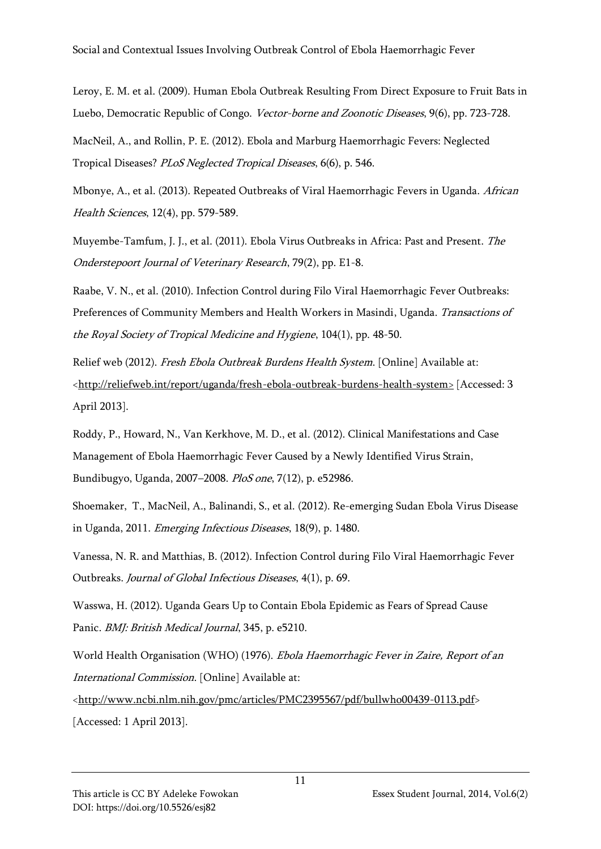Leroy, E. M. et al. (2009). Human Ebola Outbreak Resulting From Direct Exposure to Fruit Bats in Luebo, Democratic Republic of Congo. Vector-borne and Zoonotic Diseases, 9(6), pp. 723-728.

MacNeil, A., and Rollin, P. E. (2012). Ebola and Marburg Haemorrhagic Fevers: Neglected Tropical Diseases? PLoS Neglected Tropical Diseases, 6(6), p. 546.

Mbonye, A., et al. (2013). Repeated Outbreaks of Viral Haemorrhagic Fevers in Uganda. African Health Sciences, 12(4), pp. 579-589.

Muyembe-Tamfum, J. J., et al. (2011). Ebola Virus Outbreaks in Africa: Past and Present. The Onderstepoort Journal of Veterinary Research, 79(2), pp. E1-8.

Raabe, V. N., et al. (2010). Infection Control during Filo Viral Haemorrhagic Fever Outbreaks: Preferences of Community Members and Health Workers in Masindi, Uganda. Transactions of the Royal Society of Tropical Medicine and Hygiene, 104(1), pp. 48-50.

Relief web (2012). Fresh Ebola Outbreak Burdens Health System. [Online] Available at: [<http://reliefweb.int/report/uganda/fresh-ebola-outbreak-burdens-health-system>](http://reliefweb.int/report/uganda/fresh-ebola-outbreak-burdens-health-system) [Accessed: 3 April 2013].

Roddy, P., Howard, N., Van Kerkhove, M. D., et al. (2012). Clinical Manifestations and Case Management of Ebola Haemorrhagic Fever Caused by a Newly Identified Virus Strain, Bundibugyo, Uganda, 2007–2008. PloS one, 7(12), p. e52986.

Shoemaker, T., MacNeil, A., Balinandi, S., et al. (2012). Re-emerging Sudan Ebola Virus Disease in Uganda, 2011. Emerging Infectious Diseases, 18(9), p. 1480.

Vanessa, N. R. and Matthias, B. (2012). Infection Control during Filo Viral Haemorrhagic Fever Outbreaks. Journal of Global Infectious Diseases, 4(1), p. 69.

Wasswa, H. (2012). Uganda Gears Up to Contain Ebola Epidemic as Fears of Spread Cause Panic. BMJ: British Medical Journal, 345, p. e5210.

World Health Organisation (WHO) (1976). Ebola Haemorrhagic Fever in Zaire, Report of an International Commission. [Online] Available at:

[<http://www.ncbi.nlm.nih.gov/pmc/articles/PMC2395567/pdf/bullwho00439-0113.pdf>](http://www.ncbi.nlm.nih.gov/pmc/articles/PMC2395567/pdf/bullwho00439-0113.pdf) [Accessed: 1 April 2013].